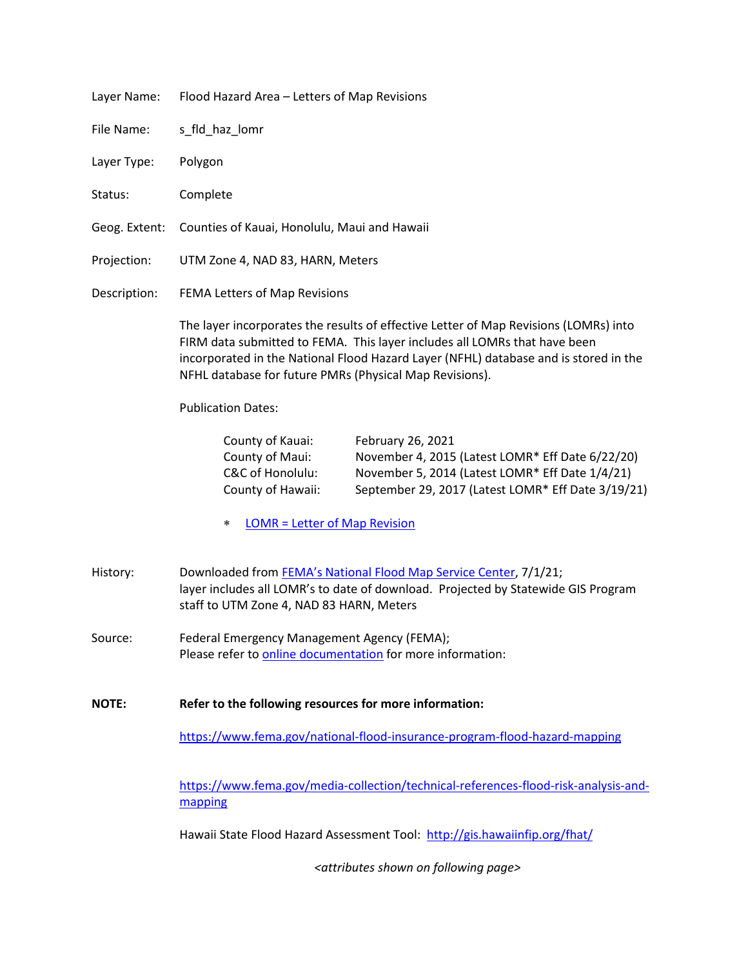| Layer Name:   | Flood Hazard Area – Letters of Map Revisions                                                                                                                                                                                                                                                                         |  |
|---------------|----------------------------------------------------------------------------------------------------------------------------------------------------------------------------------------------------------------------------------------------------------------------------------------------------------------------|--|
| File Name:    | s_fld_haz_lomr                                                                                                                                                                                                                                                                                                       |  |
| Layer Type:   | Polygon                                                                                                                                                                                                                                                                                                              |  |
| Status:       | Complete                                                                                                                                                                                                                                                                                                             |  |
| Geog. Extent: | Counties of Kauai, Honolulu, Maui and Hawaii                                                                                                                                                                                                                                                                         |  |
| Projection:   | UTM Zone 4, NAD 83, HARN, Meters                                                                                                                                                                                                                                                                                     |  |
| Description:  | FEMA Letters of Map Revisions                                                                                                                                                                                                                                                                                        |  |
|               | The layer incorporates the results of effective Letter of Map Revisions (LOMRs) into<br>FIRM data submitted to FEMA. This layer includes all LOMRs that have been<br>incorporated in the National Flood Hazard Layer (NFHL) database and is stored in the<br>NFHL database for future PMRs (Physical Map Revisions). |  |
|               |                                                                                                                                                                                                                                                                                                                      |  |

Publication Dates:

| County of Kauai:  | February 26, 2021                                  |
|-------------------|----------------------------------------------------|
| County of Maui:   | November 4, 2015 (Latest LOMR* Eff Date 6/22/20)   |
| C&C of Honolulu:  | November 5, 2014 (Latest LOMR* Eff Date 1/4/21)    |
| County of Hawaii: | September 29, 2017 (Latest LOMR* Eff Date 3/19/21) |

- ∗ [LOMR = Letter of Map Revision](https://www.fema.gov/letter-map-revision)
- History: Downloaded fro[m FEMA's National Flood Map Service Center,](https://msc.fema.gov/portal/home) 7/1/21; layer includes all LOMR's to date of download. Projected by Statewide GIS Program staff to UTM Zone 4, NAD 83 HARN, Meters
- Source: Federal Emergency Management Agency (FEMA); Please refer t[o online documentation](https://www.fema.gov/sites/default/files/documents/fema_firm-database-technical-reference.pdf) for more information:
- **NOTE: Refer to the following resources for more information:**

<https://www.fema.gov/national-flood-insurance-program-flood-hazard-mapping>

[https://www.fema.gov/media-collection/technical-references-flood-risk-analysis-and](https://www.fema.gov/media-collection/technical-references-flood-risk-analysis-and-)mapping

Hawaii State Flood Hazard Assessment Tool: <http://gis.hawaiinfip.org/fhat/>

*<attributes shown on following page>*